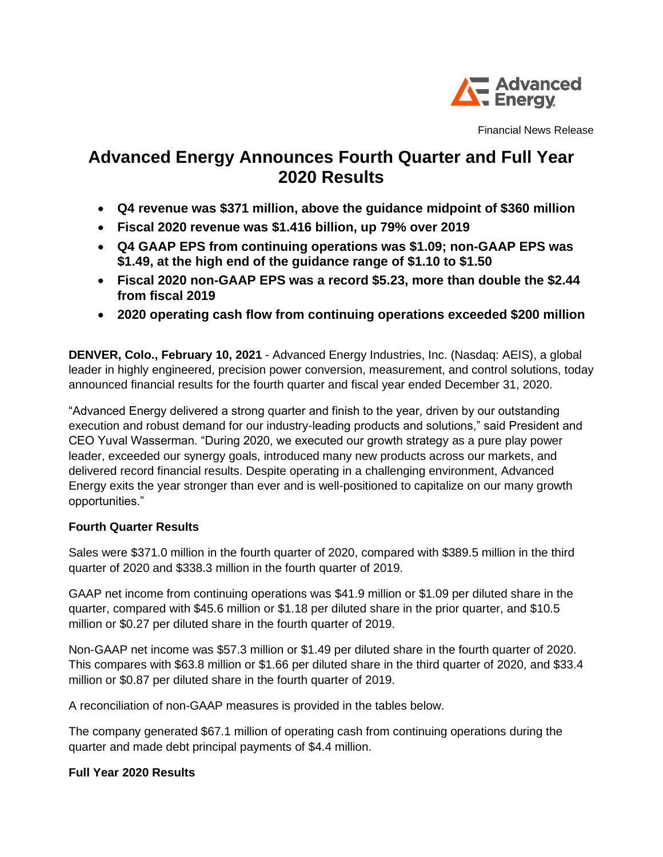

Financial News Release

# **Advanced Energy Announces Fourth Quarter and Full Year 2020 Results**

- **Q4 revenue was \$371 million, above the guidance midpoint of \$360 million**
- **Fiscal 2020 revenue was \$1.416 billion, up 79% over 2019**
- **Q4 GAAP EPS from continuing operations was \$1.09; non-GAAP EPS was \$1.49, at the high end of the guidance range of \$1.10 to \$1.50**
- **Fiscal 2020 non-GAAP EPS was a record \$5.23, more than double the \$2.44 from fiscal 2019**
- **2020 operating cash flow from continuing operations exceeded \$200 million**

**DENVER, Colo., February 10, 2021** - Advanced Energy Industries, Inc. (Nasdaq: AEIS), a global leader in highly engineered, precision power conversion, measurement, and control solutions, today announced financial results for the fourth quarter and fiscal year ended December 31, 2020.

"Advanced Energy delivered a strong quarter and finish to the year, driven by our outstanding execution and robust demand for our industry-leading products and solutions," said President and CEO Yuval Wasserman. "During 2020, we executed our growth strategy as a pure play power leader, exceeded our synergy goals, introduced many new products across our markets, and delivered record financial results. Despite operating in a challenging environment, Advanced Energy exits the year stronger than ever and is well-positioned to capitalize on our many growth opportunities."

# **Fourth Quarter Results**

Sales were \$371.0 million in the fourth quarter of 2020, compared with \$389.5 million in the third quarter of 2020 and \$338.3 million in the fourth quarter of 2019.

GAAP net income from continuing operations was \$41.9 million or \$1.09 per diluted share in the quarter, compared with \$45.6 million or \$1.18 per diluted share in the prior quarter, and \$10.5 million or \$0.27 per diluted share in the fourth quarter of 2019.

Non-GAAP net income was \$57.3 million or \$1.49 per diluted share in the fourth quarter of 2020. This compares with \$63.8 million or \$1.66 per diluted share in the third quarter of 2020, and \$33.4 million or \$0.87 per diluted share in the fourth quarter of 2019.

A reconciliation of non-GAAP measures is provided in the tables below.

The company generated \$67.1 million of operating cash from continuing operations during the quarter and made debt principal payments of \$4.4 million.

#### **Full Year 2020 Results**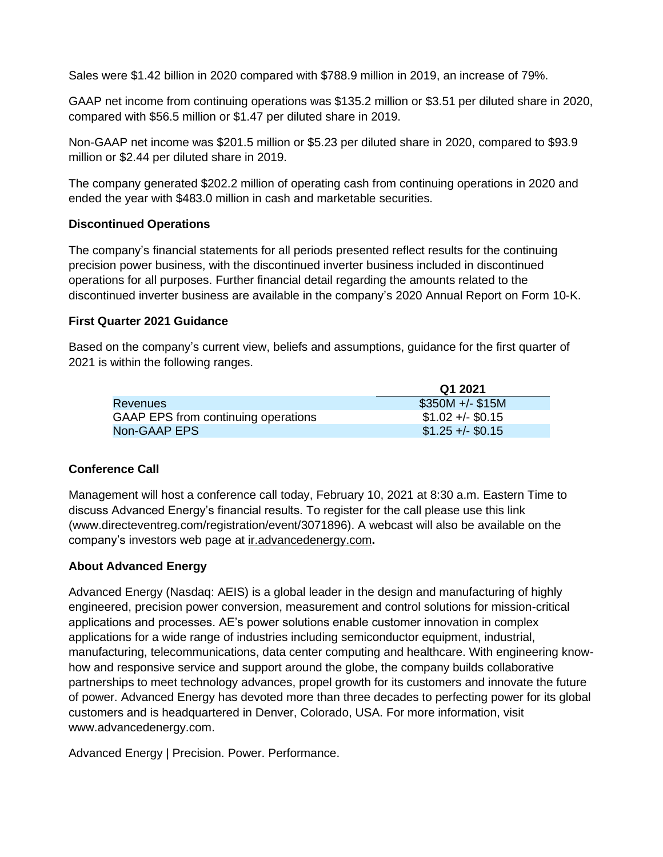Sales were \$1.42 billion in 2020 compared with \$788.9 million in 2019, an increase of 79%.

GAAP net income from continuing operations was \$135.2 million or \$3.51 per diluted share in 2020, compared with \$56.5 million or \$1.47 per diluted share in 2019.

Non-GAAP net income was \$201.5 million or \$5.23 per diluted share in 2020, compared to \$93.9 million or \$2.44 per diluted share in 2019.

The company generated \$202.2 million of operating cash from continuing operations in 2020 and ended the year with \$483.0 million in cash and marketable securities.

#### **Discontinued Operations**

The company's financial statements for all periods presented reflect results for the continuing precision power business, with the discontinued inverter business included in discontinued operations for all purposes. Further financial detail regarding the amounts related to the discontinued inverter business are available in the company's 2020 Annual Report on Form 10-K.

## **First Quarter 2021 Guidance**

Based on the company's current view, beliefs and assumptions, guidance for the first quarter of 2021 is within the following ranges.

|                                     | Q1 2021           |
|-------------------------------------|-------------------|
| Revenues                            | $$350M +/- $15M$  |
| GAAP EPS from continuing operations | $$1.02 +/- $0.15$ |
| Non-GAAP EPS                        | $$1.25 +/- $0.15$ |

# **Conference Call**

Management will host a conference call today, February 10, 2021 at 8:30 a.m. Eastern Time to discuss Advanced Energy's financial results. To register for the call please use this link (www.directeventreg.com/registration/event/3071896). A webcast will also be available on the company's investors web page at ir.advancedenergy.com**.**

# **About Advanced Energy**

Advanced Energy (Nasdaq: AEIS) is a global leader in the design and manufacturing of highly engineered, precision power conversion, measurement and control solutions for mission-critical applications and processes. AE's power solutions enable customer innovation in complex applications for a wide range of industries including semiconductor equipment, industrial, manufacturing, telecommunications, data center computing and healthcare. With engineering knowhow and responsive service and support around the globe, the company builds collaborative partnerships to meet technology advances, propel growth for its customers and innovate the future of power. Advanced Energy has devoted more than three decades to perfecting power for its global customers and is headquartered in Denver, Colorado, USA. For more information, visit www.advancedenergy.com.

Advanced Energy | Precision. Power. Performance.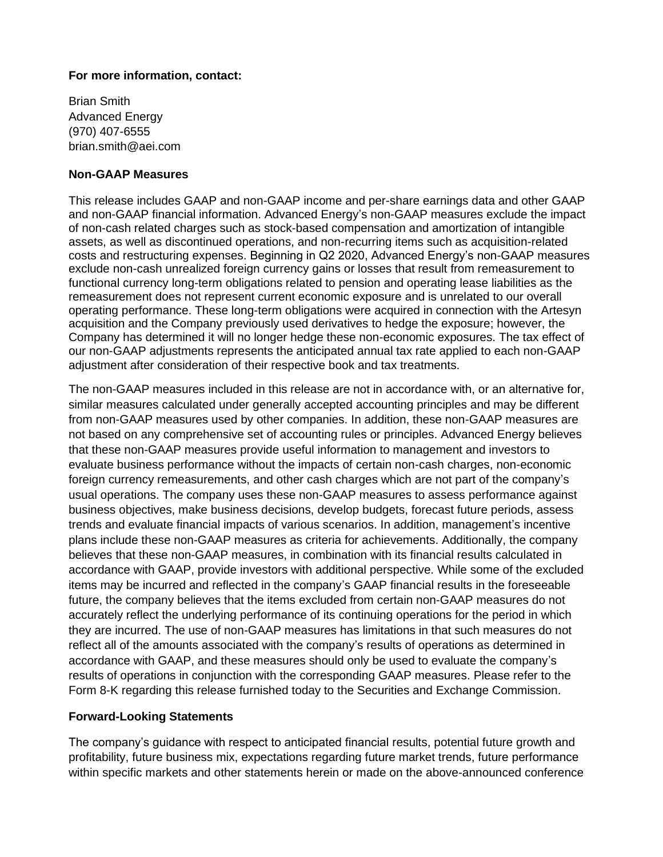### **For more information, contact:**

Brian Smith Advanced Energy (970) 407-6555 brian.smith@aei.com

### **Non-GAAP Measures**

This release includes GAAP and non-GAAP income and per-share earnings data and other GAAP and non-GAAP financial information. Advanced Energy's non-GAAP measures exclude the impact of non-cash related charges such as stock-based compensation and amortization of intangible assets, as well as discontinued operations, and non-recurring items such as acquisition-related costs and restructuring expenses. Beginning in Q2 2020, Advanced Energy's non-GAAP measures exclude non-cash unrealized foreign currency gains or losses that result from remeasurement to functional currency long-term obligations related to pension and operating lease liabilities as the remeasurement does not represent current economic exposure and is unrelated to our overall operating performance. These long-term obligations were acquired in connection with the Artesyn acquisition and the Company previously used derivatives to hedge the exposure; however, the Company has determined it will no longer hedge these non-economic exposures. The tax effect of our non-GAAP adjustments represents the anticipated annual tax rate applied to each non-GAAP adjustment after consideration of their respective book and tax treatments.

The non-GAAP measures included in this release are not in accordance with, or an alternative for, similar measures calculated under generally accepted accounting principles and may be different from non-GAAP measures used by other companies. In addition, these non-GAAP measures are not based on any comprehensive set of accounting rules or principles. Advanced Energy believes that these non-GAAP measures provide useful information to management and investors to evaluate business performance without the impacts of certain non-cash charges, non-economic foreign currency remeasurements, and other cash charges which are not part of the company's usual operations. The company uses these non-GAAP measures to assess performance against business objectives, make business decisions, develop budgets, forecast future periods, assess trends and evaluate financial impacts of various scenarios. In addition, management's incentive plans include these non-GAAP measures as criteria for achievements. Additionally, the company believes that these non-GAAP measures, in combination with its financial results calculated in accordance with GAAP, provide investors with additional perspective. While some of the excluded items may be incurred and reflected in the company's GAAP financial results in the foreseeable future, the company believes that the items excluded from certain non-GAAP measures do not accurately reflect the underlying performance of its continuing operations for the period in which they are incurred. The use of non-GAAP measures has limitations in that such measures do not reflect all of the amounts associated with the company's results of operations as determined in accordance with GAAP, and these measures should only be used to evaluate the company's results of operations in conjunction with the corresponding GAAP measures. Please refer to the Form 8-K regarding this release furnished today to the Securities and Exchange Commission.

#### **Forward-Looking Statements**

The company's guidance with respect to anticipated financial results, potential future growth and profitability, future business mix, expectations regarding future market trends, future performance within specific markets and other statements herein or made on the above-announced conference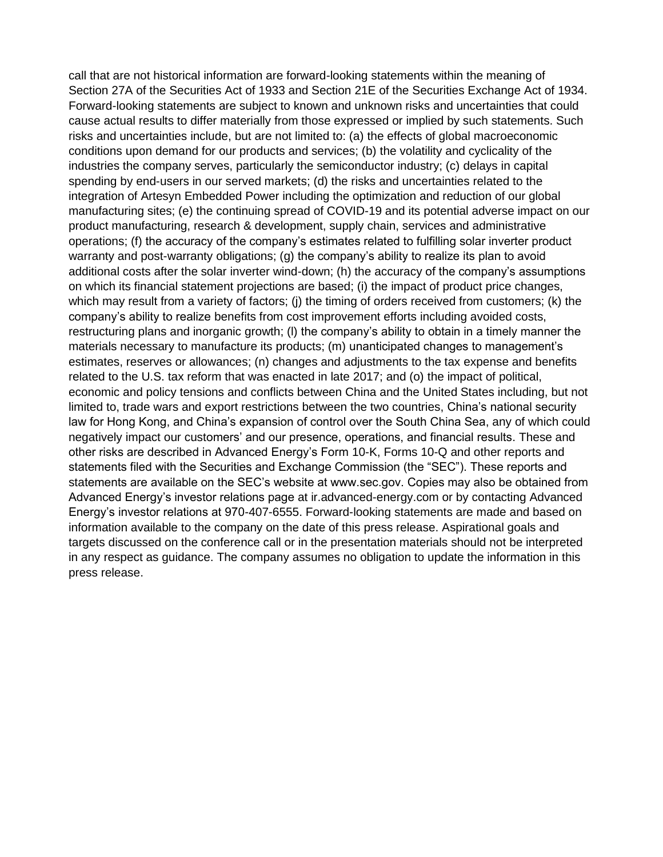call that are not historical information are forward-looking statements within the meaning of Section 27A of the Securities Act of 1933 and Section 21E of the Securities Exchange Act of 1934. Forward-looking statements are subject to known and unknown risks and uncertainties that could cause actual results to differ materially from those expressed or implied by such statements. Such risks and uncertainties include, but are not limited to: (a) the effects of global macroeconomic conditions upon demand for our products and services; (b) the volatility and cyclicality of the industries the company serves, particularly the semiconductor industry; (c) delays in capital spending by end-users in our served markets; (d) the risks and uncertainties related to the integration of Artesyn Embedded Power including the optimization and reduction of our global manufacturing sites; (e) the continuing spread of COVID-19 and its potential adverse impact on our product manufacturing, research & development, supply chain, services and administrative operations; (f) the accuracy of the company's estimates related to fulfilling solar inverter product warranty and post-warranty obligations; (g) the company's ability to realize its plan to avoid additional costs after the solar inverter wind-down; (h) the accuracy of the company's assumptions on which its financial statement projections are based; (i) the impact of product price changes, which may result from a variety of factors; (j) the timing of orders received from customers; (k) the company's ability to realize benefits from cost improvement efforts including avoided costs, restructuring plans and inorganic growth; (l) the company's ability to obtain in a timely manner the materials necessary to manufacture its products; (m) unanticipated changes to management's estimates, reserves or allowances; (n) changes and adjustments to the tax expense and benefits related to the U.S. tax reform that was enacted in late 2017; and (o) the impact of political, economic and policy tensions and conflicts between China and the United States including, but not limited to, trade wars and export restrictions between the two countries, China's national security law for Hong Kong, and China's expansion of control over the South China Sea, any of which could negatively impact our customers' and our presence, operations, and financial results. These and other risks are described in Advanced Energy's Form 10-K, Forms 10-Q and other reports and statements filed with the Securities and Exchange Commission (the "SEC"). These reports and statements are available on the SEC's website at www.sec.gov. Copies may also be obtained from Advanced Energy's investor relations page at ir.advanced-energy.com or by contacting Advanced Energy's investor relations at 970-407-6555. Forward-looking statements are made and based on information available to the company on the date of this press release. Aspirational goals and targets discussed on the conference call or in the presentation materials should not be interpreted in any respect as guidance. The company assumes no obligation to update the information in this press release.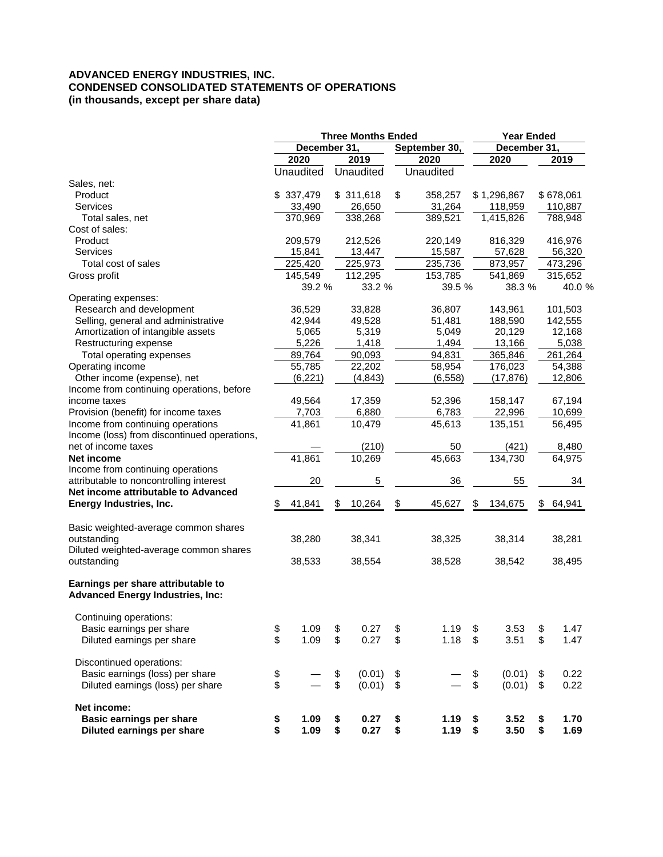#### **ADVANCED ENERGY INDUSTRIES, INC. CONDENSED CONSOLIDATED STATEMENTS OF OPERATIONS (in thousands, except per share data)**

| December 31,<br>December 31,<br>September 30,<br>2020<br>2019<br>2020<br>2020<br>Unaudited<br>Unaudited<br>Unaudited<br>Sales, net:<br>\$337,479<br>\$311,618<br>\$<br>\$1,296,867<br>Product<br>358,257<br>33,490<br>26,650<br>31,264<br>Services<br>118,959 | 2019<br>\$678,061<br>110,887<br>788,948<br>416,976<br>56,320<br>473,296 |
|---------------------------------------------------------------------------------------------------------------------------------------------------------------------------------------------------------------------------------------------------------------|-------------------------------------------------------------------------|
|                                                                                                                                                                                                                                                               |                                                                         |
|                                                                                                                                                                                                                                                               |                                                                         |
|                                                                                                                                                                                                                                                               |                                                                         |
|                                                                                                                                                                                                                                                               |                                                                         |
|                                                                                                                                                                                                                                                               |                                                                         |
|                                                                                                                                                                                                                                                               |                                                                         |
| 370,969<br>338,268<br>389,521<br>1,415,826<br>Total sales, net                                                                                                                                                                                                |                                                                         |
| Cost of sales:                                                                                                                                                                                                                                                |                                                                         |
| 212,526<br>Product<br>209,579<br>220,149<br>816,329                                                                                                                                                                                                           |                                                                         |
| 15,841<br>13,447<br>15,587<br>57,628<br>Services                                                                                                                                                                                                              |                                                                         |
| 225,420<br>225,973<br>235,736<br>Total cost of sales<br>873,957                                                                                                                                                                                               |                                                                         |
| 112,295<br>145,549<br>153,785<br>541,869<br>Gross profit                                                                                                                                                                                                      | 315,652                                                                 |
| 39.2 %<br>33.2 %<br>39.5 %<br>38.3 %                                                                                                                                                                                                                          | 40.0 %                                                                  |
| Operating expenses:                                                                                                                                                                                                                                           |                                                                         |
| Research and development<br>36,529<br>33,828<br>36,807<br>143,961                                                                                                                                                                                             | 101,503                                                                 |
| Selling, general and administrative<br>42,944<br>49,528<br>51,481<br>188,590                                                                                                                                                                                  | 142,555                                                                 |
| Amortization of intangible assets<br>5,065<br>5,319<br>5,049<br>20,129                                                                                                                                                                                        | 12,168                                                                  |
| Restructuring expense<br>5,226<br>1,418<br>1,494<br>13,166                                                                                                                                                                                                    | 5,038                                                                   |
| 89,764<br>90,093<br>94,831<br>Total operating expenses<br>365,846                                                                                                                                                                                             | 261,264                                                                 |
| Operating income<br>55,785<br>22,202<br>58,954<br>176,023                                                                                                                                                                                                     | 54,388                                                                  |
| Other income (expense), net<br>(6, 221)<br>(4, 843)<br>(6, 558)<br>(17, 876)                                                                                                                                                                                  | 12,806                                                                  |
| Income from continuing operations, before                                                                                                                                                                                                                     |                                                                         |
| 17,359<br>158,147<br>income taxes<br>49,564<br>52,396                                                                                                                                                                                                         | 67,194                                                                  |
| 6,783<br>Provision (benefit) for income taxes<br>7,703<br>6,880<br>22,996                                                                                                                                                                                     | 10,699                                                                  |
| 41,861<br>10,479<br>135,151<br>Income from continuing operations<br>45,613                                                                                                                                                                                    | 56,495                                                                  |
| Income (loss) from discontinued operations,                                                                                                                                                                                                                   |                                                                         |
| net of income taxes<br>(210)<br>50<br>(421)                                                                                                                                                                                                                   | 8,480                                                                   |
| 45,663<br>41,861<br>134,730<br>10,269<br>Net income                                                                                                                                                                                                           | 64,975                                                                  |
| Income from continuing operations                                                                                                                                                                                                                             |                                                                         |
| attributable to noncontrolling interest<br>5<br>20<br>36<br>55                                                                                                                                                                                                | 34                                                                      |
| Net income attributable to Advanced                                                                                                                                                                                                                           |                                                                         |
| 41,841<br>10,264<br>\$<br>45,627<br>Energy Industries, Inc.<br>134,675<br>\$<br>\$<br>\$                                                                                                                                                                      | 64,941                                                                  |
| Basic weighted-average common shares                                                                                                                                                                                                                          |                                                                         |
| outstanding<br>38,280<br>38,341<br>38,325<br>38,314                                                                                                                                                                                                           | 38,281                                                                  |
| Diluted weighted-average common shares                                                                                                                                                                                                                        |                                                                         |
| outstanding<br>38,533<br>38,554<br>38,528<br>38,542                                                                                                                                                                                                           | 38,495                                                                  |
| Earnings per share attributable to<br><b>Advanced Energy Industries, Inc:</b>                                                                                                                                                                                 |                                                                         |
| Continuing operations:                                                                                                                                                                                                                                        |                                                                         |
| \$<br>\$<br>\$<br>Basic earnings per share<br>1.09<br>0.27<br>\$<br>1.19<br>3.53<br>\$                                                                                                                                                                        | 1.47                                                                    |
| \$<br>\$<br>\$<br>\$<br>0.27<br>\$<br>Diluted earnings per share<br>1.09<br>1.18<br>3.51                                                                                                                                                                      | 1.47                                                                    |
| Discontinued operations:                                                                                                                                                                                                                                      |                                                                         |
| \$<br>Basic earnings (loss) per share<br>\$<br>(0.01)<br>\$<br>\$<br>(0.01)<br>\$                                                                                                                                                                             | 0.22                                                                    |
| \$<br>\$<br>\$<br>\$<br>(0.01)<br>Diluted earnings (loss) per share<br>(0.01)<br>\$                                                                                                                                                                           | 0.22                                                                    |
| Net income:                                                                                                                                                                                                                                                   |                                                                         |
| <b>Basic earnings per share</b><br>\$<br>\$<br>1.09<br>0.27<br>\$<br>1.19<br>\$<br>3.52<br>\$<br>\$<br>\$<br>\$<br>\$<br>0.27<br>Diluted earnings per share<br>1.09<br>3.50<br>\$<br>1.19                                                                     | 1.70<br>1.69                                                            |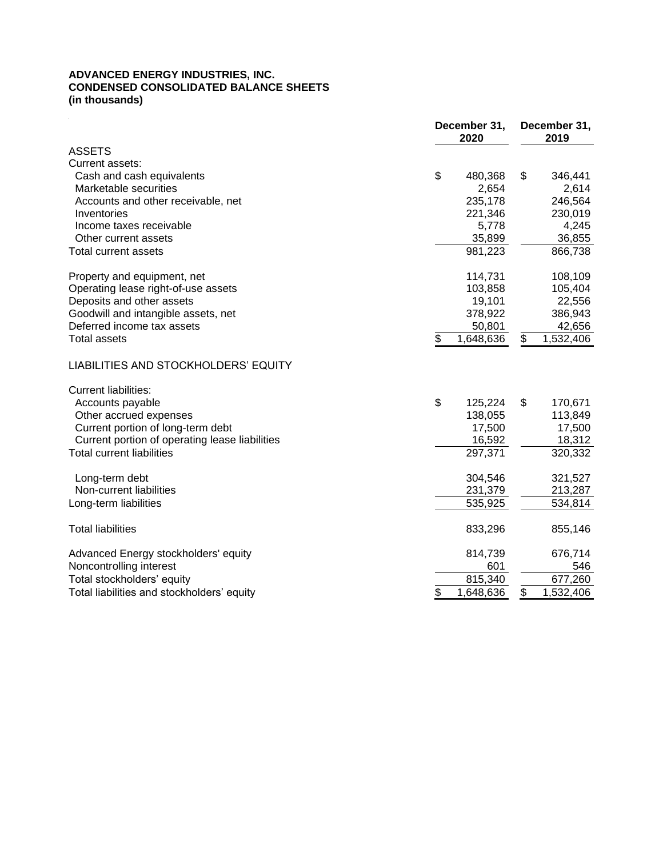#### **ADVANCED ENERGY INDUSTRIES, INC. CONDENSED CONSOLIDATED BALANCE SHEETS (in thousands)**

|                                                | December 31,<br>2020 | December 31,<br>2019 |  |  |  |
|------------------------------------------------|----------------------|----------------------|--|--|--|
| <b>ASSETS</b>                                  |                      |                      |  |  |  |
| Current assets:                                |                      |                      |  |  |  |
| Cash and cash equivalents                      | \$<br>480,368        | \$<br>346,441        |  |  |  |
| Marketable securities                          | 2,654                | 2,614                |  |  |  |
| Accounts and other receivable, net             | 235,178              | 246,564              |  |  |  |
| Inventories                                    | 221,346              | 230,019              |  |  |  |
| Income taxes receivable                        | 5,778                | 4,245                |  |  |  |
| Other current assets                           | 35,899               | 36,855               |  |  |  |
| <b>Total current assets</b>                    | 981,223              | 866,738              |  |  |  |
| Property and equipment, net                    | 114,731              | 108,109              |  |  |  |
| Operating lease right-of-use assets            | 103,858              | 105,404              |  |  |  |
| Deposits and other assets                      | 19,101               | 22,556               |  |  |  |
| Goodwill and intangible assets, net            | 378,922              | 386,943              |  |  |  |
| Deferred income tax assets                     | 50,801               | 42,656               |  |  |  |
| Total assets                                   | \$<br>1,648,636      | \$<br>1,532,406      |  |  |  |
| LIABILITIES AND STOCKHOLDERS' EQUITY           |                      |                      |  |  |  |
| <b>Current liabilities:</b>                    |                      |                      |  |  |  |
| Accounts payable                               | \$<br>125,224        | \$<br>170,671        |  |  |  |
| Other accrued expenses                         | 138,055              | 113,849              |  |  |  |
| Current portion of long-term debt              | 17,500               | 17,500               |  |  |  |
| Current portion of operating lease liabilities | 16,592               | 18,312               |  |  |  |
| <b>Total current liabilities</b>               | 297,371              | 320,332              |  |  |  |
| Long-term debt                                 | 304,546              | 321,527              |  |  |  |
| Non-current liabilities                        | 231,379              | 213,287              |  |  |  |
| Long-term liabilities                          | 535,925              | 534,814              |  |  |  |
| <b>Total liabilities</b>                       | 833,296              | 855,146              |  |  |  |
| Advanced Energy stockholders' equity           | 814,739              | 676,714              |  |  |  |
| Noncontrolling interest                        | 601                  | 546                  |  |  |  |
| Total stockholders' equity                     | 815,340              | 677,260              |  |  |  |
| Total liabilities and stockholders' equity     | \$<br>1,648,636      | \$<br>1,532,406      |  |  |  |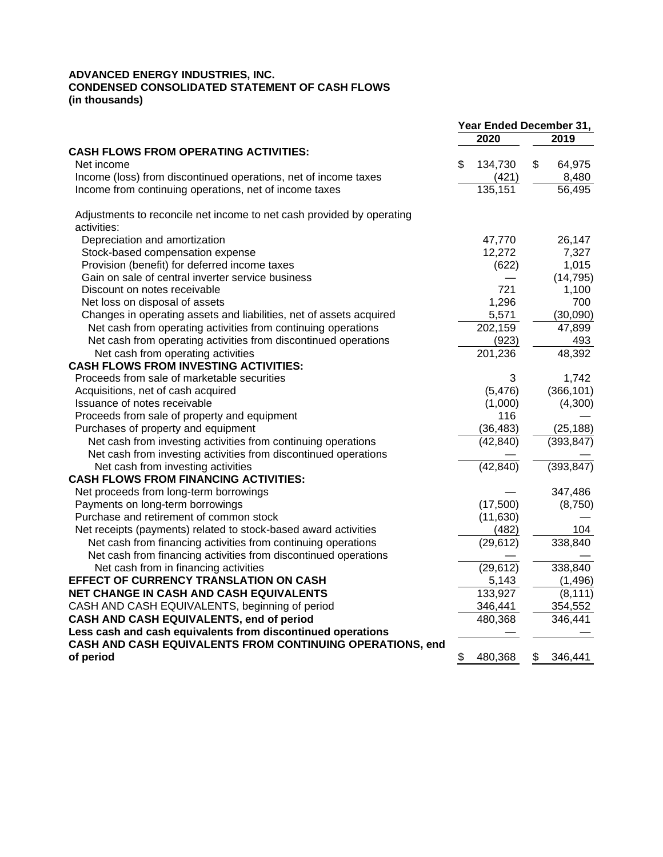#### **ADVANCED ENERGY INDUSTRIES, INC. CONDENSED CONSOLIDATED STATEMENT OF CASH FLOWS (in thousands)**

|                                                                                      | Year Ended December 31, |                |    |               |
|--------------------------------------------------------------------------------------|-------------------------|----------------|----|---------------|
|                                                                                      |                         | 2020           |    | 2019          |
| <b>CASH FLOWS FROM OPERATING ACTIVITIES:</b>                                         |                         |                |    |               |
| Net income                                                                           | \$                      | 134,730        | \$ | 64,975        |
| Income (loss) from discontinued operations, net of income taxes                      |                         | (421)          |    | 8,480         |
| Income from continuing operations, net of income taxes                               |                         | 135,151        |    | 56,495        |
| Adjustments to reconcile net income to net cash provided by operating<br>activities: |                         |                |    |               |
| Depreciation and amortization                                                        |                         | 47,770         |    | 26,147        |
| Stock-based compensation expense                                                     |                         | 12,272         |    | 7,327         |
| Provision (benefit) for deferred income taxes                                        |                         | (622)          |    | 1,015         |
| Gain on sale of central inverter service business                                    |                         |                |    | (14, 795)     |
| Discount on notes receivable                                                         |                         | 721            |    | 1,100         |
| Net loss on disposal of assets                                                       |                         | 1,296          |    | 700           |
| Changes in operating assets and liabilities, net of assets acquired                  |                         | 5,571          |    | (30,090)      |
|                                                                                      |                         | 202,159        |    | 47,899        |
| Net cash from operating activities from continuing operations                        |                         |                |    |               |
| Net cash from operating activities from discontinued operations                      |                         | (923)          |    | 493<br>48,392 |
| Net cash from operating activities<br><b>CASH FLOWS FROM INVESTING ACTIVITIES:</b>   |                         | 201,236        |    |               |
|                                                                                      |                         |                |    |               |
| Proceeds from sale of marketable securities                                          |                         | 3              |    | 1,742         |
| Acquisitions, net of cash acquired<br>Issuance of notes receivable                   |                         | (5, 476)       |    | (366, 101)    |
|                                                                                      |                         | (1,000)<br>116 |    | (4,300)       |
| Proceeds from sale of property and equipment                                         |                         |                |    |               |
| Purchases of property and equipment                                                  |                         | (36, 483)      |    | (25, 188)     |
| Net cash from investing activities from continuing operations                        |                         | (42, 840)      |    | (393, 847)    |
| Net cash from investing activities from discontinued operations                      |                         |                |    |               |
| Net cash from investing activities                                                   |                         | (42, 840)      |    | (393, 847)    |
| <b>CASH FLOWS FROM FINANCING ACTIVITIES:</b>                                         |                         |                |    |               |
| Net proceeds from long-term borrowings                                               |                         |                |    | 347,486       |
| Payments on long-term borrowings                                                     |                         | (17,500)       |    | (8,750)       |
| Purchase and retirement of common stock                                              |                         | (11,630)       |    |               |
| Net receipts (payments) related to stock-based award activities                      |                         | (482)          |    | 104           |
| Net cash from financing activities from continuing operations                        |                         | (29, 612)      |    | 338,840       |
| Net cash from financing activities from discontinued operations                      |                         |                |    |               |
| Net cash from in financing activities                                                |                         | (29, 612)      |    | 338,840       |
| <b>EFFECT OF CURRENCY TRANSLATION ON CASH</b>                                        |                         | 5,143          |    | (1, 496)      |
| <b>NET CHANGE IN CASH AND CASH EQUIVALENTS</b>                                       |                         | 133,927        |    | (8, 111)      |
| CASH AND CASH EQUIVALENTS, beginning of period                                       |                         | 346,441        |    | 354,552       |
| CASH AND CASH EQUIVALENTS, end of period                                             |                         | 480,368        |    | 346,441       |
| Less cash and cash equivalents from discontinued operations                          |                         |                |    |               |
| CASH AND CASH EQUIVALENTS FROM CONTINUING OPERATIONS, end                            |                         |                |    |               |
| of period                                                                            | \$                      | 480,368        | \$ | 346,441       |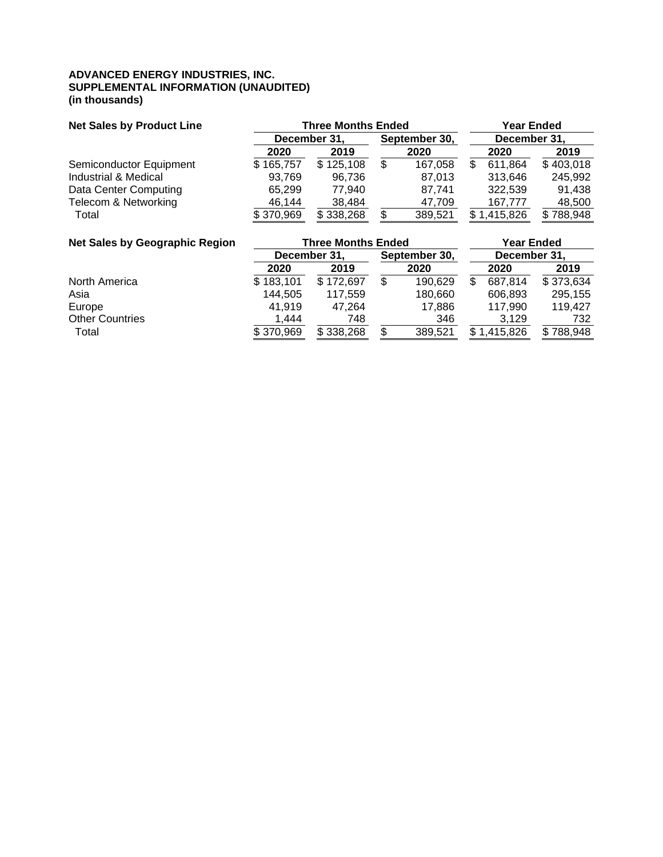#### **ADVANCED ENERGY INDUSTRIES, INC. SUPPLEMENTAL INFORMATION (UNAUDITED) (in thousands)**

| <b>Net Sales by Product Line</b> |              | <b>Three Months Ended</b> |                               |         |  |             | <b>Year Ended</b> |      |      |  |
|----------------------------------|--------------|---------------------------|-------------------------------|---------|--|-------------|-------------------|------|------|--|
|                                  | December 31, |                           | December 31,<br>September 30, |         |  |             |                   |      |      |  |
|                                  | 2020         | 2019                      | 2020                          |         |  |             |                   | 2020 | 2019 |  |
| Semiconductor Equipment          | \$165,757    | \$125,108                 |                               | 167,058 |  | 611,864     | \$403,018         |      |      |  |
| Industrial & Medical             | 93.769       | 96,736                    |                               | 87,013  |  | 313,646     | 245,992           |      |      |  |
| Data Center Computing            | 65.299       | 77.940                    |                               | 87.741  |  | 322.539     | 91,438            |      |      |  |
| Telecom & Networking             | 46,144       | 38.484                    |                               | 47,709  |  | 167.777     | 48,500            |      |      |  |
| Total                            | \$370,969    | \$338,268                 |                               | 389,521 |  | \$1,415,826 | 788,948           |      |      |  |

| <b>Net Sales by Geographic Region</b> |           | <b>Three Months Ended</b>     | <b>Year Ended</b> |         |              |           |           |
|---------------------------------------|-----------|-------------------------------|-------------------|---------|--------------|-----------|-----------|
|                                       |           | December 31,<br>September 30, |                   |         | December 31, |           |           |
|                                       | 2020      | 2019                          |                   | 2020    |              | 2020      | 2019      |
| North America                         | \$183,101 | \$172,697                     |                   | 190,629 |              | 687.814   | \$373,634 |
| Asia                                  | 144,505   | 117,559                       |                   | 180,660 |              | 606,893   | 295,155   |
| Europe                                | 41.919    | 47.264                        |                   | 17,886  |              | 117,990   | 119.427   |
| <b>Other Countries</b>                | 1.444     | 748                           |                   | 346     |              | 3.129     | 732       |
| Total                                 | \$370,969 | \$338,268                     |                   | 389,521 |              | 1,415,826 | \$788,948 |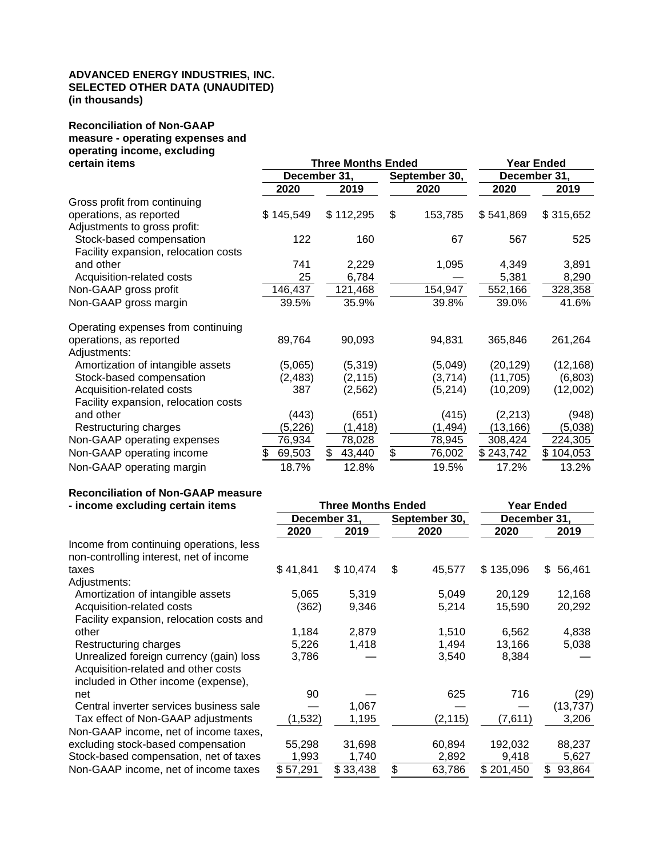#### **ADVANCED ENERGY INDUSTRIES, INC. SELECTED OTHER DATA (UNAUDITED) (in thousands)**

# **Reconciliation of Non-GAAP measure - operating expenses and operating income, excluding**

| certain items                        |              | <b>Three Months Ended</b> | <b>Year Ended</b> |              |           |  |
|--------------------------------------|--------------|---------------------------|-------------------|--------------|-----------|--|
|                                      |              | December 31,              | September 30,     | December 31, |           |  |
|                                      | 2020<br>2019 |                           | 2020              | 2020         | 2019      |  |
| Gross profit from continuing         |              |                           |                   |              |           |  |
| operations, as reported              | \$145,549    | \$112,295                 | \$<br>153,785     | \$541,869    | \$315,652 |  |
| Adjustments to gross profit:         |              |                           |                   |              |           |  |
| Stock-based compensation             | 122          | 160                       | 67                | 567          | 525       |  |
| Facility expansion, relocation costs |              |                           |                   |              |           |  |
| and other                            | 741          | 2,229                     | 1,095             | 4,349        | 3,891     |  |
| Acquisition-related costs            | 25           | 6,784                     |                   | 5,381        | 8,290     |  |
| Non-GAAP gross profit                | 146,437      | 121,468                   | 154,947           | 552,166      | 328,358   |  |
| Non-GAAP gross margin                | 39.5%        | 35.9%                     | 39.8%             | 39.0%        | 41.6%     |  |
| Operating expenses from continuing   |              |                           |                   |              |           |  |
| operations, as reported              | 89,764       | 90,093                    | 94,831            | 365,846      | 261,264   |  |
| Adjustments:                         |              |                           |                   |              |           |  |
| Amortization of intangible assets    | (5,065)      | (5,319)                   | (5,049)           | (20, 129)    | (12, 168) |  |
| Stock-based compensation             | (2, 483)     | (2, 115)                  | (3,714)           | (11, 705)    | (6,803)   |  |
| Acquisition-related costs            | 387          | (2, 562)                  | (5,214)           | (10, 209)    | (12,002)  |  |
| Facility expansion, relocation costs |              |                           |                   |              |           |  |
| and other                            | (443)        | (651)                     | (415)             | (2, 213)     | (948)     |  |
| Restructuring charges                | (5,226)      | (1, 418)                  | (1, 494)          | (13, 166)    | (5,038)   |  |
| Non-GAAP operating expenses          | 76,934       | 78,028                    | 78,945            | 308,424      | 224,305   |  |
| Non-GAAP operating income            | 69,503<br>S  | \$<br>43,440              | \$<br>76,002      | \$243,742    | \$104,053 |  |
| Non-GAAP operating margin            | 18.7%        | 12.8%                     | 19.5%             | 17.2%        | 13.2%     |  |

#### **Reconciliation of Non-GAAP measure**

| - income excluding certain items         |          | <b>Three Months Ended</b> | <b>Year Ended</b> |              |              |  |  |
|------------------------------------------|----------|---------------------------|-------------------|--------------|--------------|--|--|
|                                          |          | December 31,              | September 30,     | December 31, |              |  |  |
|                                          | 2020     | 2019                      | 2020              | 2020         | 2019         |  |  |
| Income from continuing operations, less  |          |                           |                   |              |              |  |  |
| non-controlling interest, net of income  |          |                           |                   |              |              |  |  |
| taxes                                    | \$41,841 | \$10,474                  | \$<br>45,577      | \$135,096    | \$56,461     |  |  |
| Adjustments:                             |          |                           |                   |              |              |  |  |
| Amortization of intangible assets        | 5,065    | 5,319                     | 5,049             | 20,129       | 12,168       |  |  |
| Acquisition-related costs                | (362)    | 9,346                     | 5,214             | 15,590       | 20,292       |  |  |
| Facility expansion, relocation costs and |          |                           |                   |              |              |  |  |
| other                                    | 1,184    | 2,879                     | 1,510             | 6,562        | 4,838        |  |  |
| Restructuring charges                    | 5,226    | 1,418                     | 1,494             | 13,166       | 5,038        |  |  |
| Unrealized foreign currency (gain) loss  | 3,786    |                           | 3,540             | 8,384        |              |  |  |
| Acquisition-related and other costs      |          |                           |                   |              |              |  |  |
| included in Other income (expense),      |          |                           |                   |              |              |  |  |
| net                                      | 90       |                           | 625               | 716          | (29)         |  |  |
| Central inverter services business sale  |          | 1,067                     |                   |              | (13, 737)    |  |  |
| Tax effect of Non-GAAP adjustments       | (1,532)  | 1,195                     | (2, 115)          | (7,611)      | 3,206        |  |  |
| Non-GAAP income, net of income taxes,    |          |                           |                   |              |              |  |  |
| excluding stock-based compensation       | 55,298   | 31,698                    | 60,894            | 192,032      | 88,237       |  |  |
| Stock-based compensation, net of taxes   | 1,993    | 1,740                     | 2,892             | 9,418        | 5,627        |  |  |
| Non-GAAP income, net of income taxes     | \$57,291 | \$33,438                  | \$<br>63,786      | \$201,450    | 93,864<br>\$ |  |  |